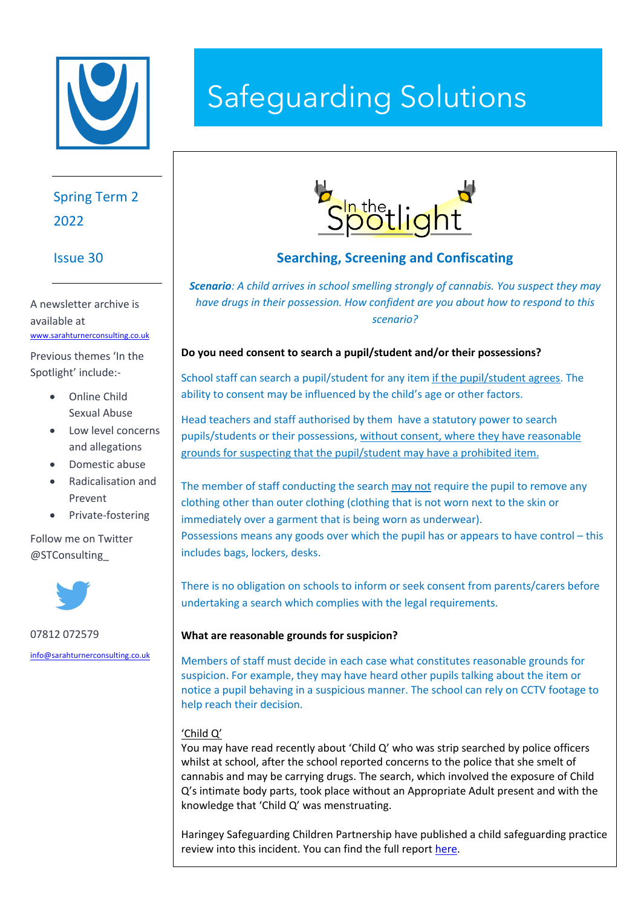

# Spring Term 2 2022

# Issue 30

A newsletter archive is available at www.sarahturnerconsulting.co.uk

Previous themes 'In the Spotlight' include:-

- Online Child Sexual Abuse
- Low level concerns and allegations
- Domestic abuse
- Radicalisation and Prevent
- Private-fostering

Follow me on Twitter @STConsulting\_



07812 072579

info@sarahturnerconsulting.co.uk

# Safeguarding Solutions



# **Searching, Screening and Confiscating**

*Scenario: A child arrives in school smelling strongly of cannabis. You suspect they may have drugs in their possession. How confident are you about how to respond to this scenario?*

## **Do you need consent to search a pupil/student and/or their possessions?**

School staff can search a pupil/student for any item if the pupil/student agrees. The ability to consent may be influenced by the child's age or other factors.

Head teachers and staff authorised by them have a statutory power to search pupils/students or their possessions, without consent, where they have reasonable grounds for suspecting that the pupil/student may have a prohibited item.

The member of staff conducting the search may not require the pupil to remove any clothing other than outer clothing (clothing that is not worn next to the skin or immediately over a garment that is being worn as underwear). Possessions means any goods over which the pupil has or appears to have control – this includes bags, lockers, desks.

There is no obligation on schools to inform or seek consent from parents/carers before undertaking a search which complies with the legal requirements.

## **What are reasonable grounds for suspicion?**

Members of staff must decide in each case what constitutes reasonable grounds for suspicion. For example, they may have heard other pupils talking about the item or notice a pupil behaving in a suspicious manner. The school can rely on CCTV footage to help reach their decision.

# 'Child Q'

You may have read recently about 'Child Q' who was strip searched by police officers whilst at school, after the school reported concerns to the police that she smelt of cannabis and may be carrying drugs. The search, which involved the exposure of Child Q's intimate body parts, took place without an Appropriate Adult present and with the knowledge that 'Child Q' was menstruating.

Haringey Safeguarding Children Partnership have published a child safeguarding practice review into this incident. You can find the full report here.